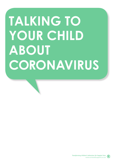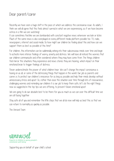## Dear parent/carer

Recently we have seen a huge shift in the pace at which we address the coronavirus issue. As adults, I think we will all agree that this feels almost surreal in what we are experiencing, as if we have become extras in a film we are watching!

It can sometimes feel like we are bombarded with constant negative news wherever we look or listen. Much of the same news is also overplayed on every different media platform possible too: TV, radio, newspapers, internet and social media. So how might our children be feeling about this and how can we support them as best as possible at this time?

For children, this information can be subliminally sinking into their subconscious minds over time and begin to activate more intense feelings of worry, anxiety and distress. We will have all noticed the worries that our children communicate and often wondered where they may have come from. The things children feel mirror the situations they experience and news stories they are hearing, which impact on their emotional brain to trigger feelings of distress.

Never underestimate the power of what children hear. We can't change the impact coronavirus is having on us all, or some of the distressing things that happen in the world. Our job as parents and carers is to protect our children's innocence for as long as possible and help their minds develop without unnecessary stress and upset. So, rather than ease the situation over time through lots of reassurance, challenging worries and reminding our children it is our job to keep them safe, let's do the right things now as suggested in the top tips we are offering, to prevent future emotional upset.

We are going to do our absolute best to be there for you as much as we can over this difficult time we are all facing together.

Stay safe all of you and remember the little steps that we all do now will help us beat this so that we can return to normality as quickly as possible.

The Unravel Team



Supporting you on behalf of your child's school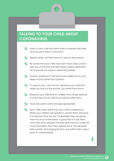- $\bullet$ Listen to your child and allow them to express their fears and concerns about coronavirus
- Speak calmly. Let them know it's okay to feel anxious
- $\bullet$ Be aware that your child may want more close contact with you at this time and feel anxious about separation. Try to provide this support whenever possible
- Answers questions to the best of your ability but try and keep to facts rather than opinions
- It's okay to say 'I don't know'. Reassure your child that when you find out the answer, you will let them know
- Reassure your child that it is unlikely they will get seriously ill, and if they do you feel ill you will look after them

Have discussions which are age-appropriate

**Don't offer more detail than your child is interested in.** When your children ask questions, answer them. However, it is important that we don't overwhelm them by giving them too much information. A good test is to ask them what they know already and then give them just a little bit more information than they already have. This will satisfy their curiosity and longing for facts, but within their correct zone of understanding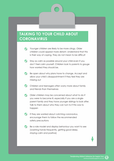- Younger children are likely to be more clingy. Older children could appear more distant. Understand that this is their way of coping. They do not mean to be difficult
- Stay as calm as possible around your child even if you don't feel calm yourself. Children look to parents to gauge how worried they should be.
- Be open about why plans have to change. Accept and allow your child's disappointment if they feel they are missing out
- Children and teenagers often worry more about family and friends than themselves
- Older children may be concerned about what to do if you were to become ill, especially if you are a singleparent family and they have younger siblings to look after. Talk to them about who they can turn to if this was to happen
- If they are worried about catching coronavirus, encourage them to follow the recommended safety precautions
- Be a role model and display behaviour you want to see (washing hands frequently, getting good sleep, staying calm and positive)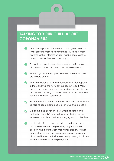- **V** Limit their exposure to the media coverage of coronavirus whilst allowing them to stay informed. Try to steer them towards factual information from reliable sources rather than rumours, opinions and hearsay
- **Try not to let events around coronavirus dominate your** discussions. Talk about other more positive subjects.
- When tragic events happen, remind children that these are still rare events
- Remind children of all the wonderful things that happen in the world that the news always doesn't report. Many people are recovering from coronavirus and genuine acts of kindness are being activated to unite us at a time when separation is being asked of us
- Reinforce all the brilliant professions and services that work so hard to keep us safe and look after us if we do get ill
- Go above and beyond with your role as caring and protective parents/carers so that your children feel as secure as possible within their changing world at this time
- Use this situation to educate children on the important habits we all need to be practising. A generation of children who learn to wash their hands properly will not only protect us from the coronavirus spread today, but also other illnesses that will spread easily amongst children when they are back in the playground